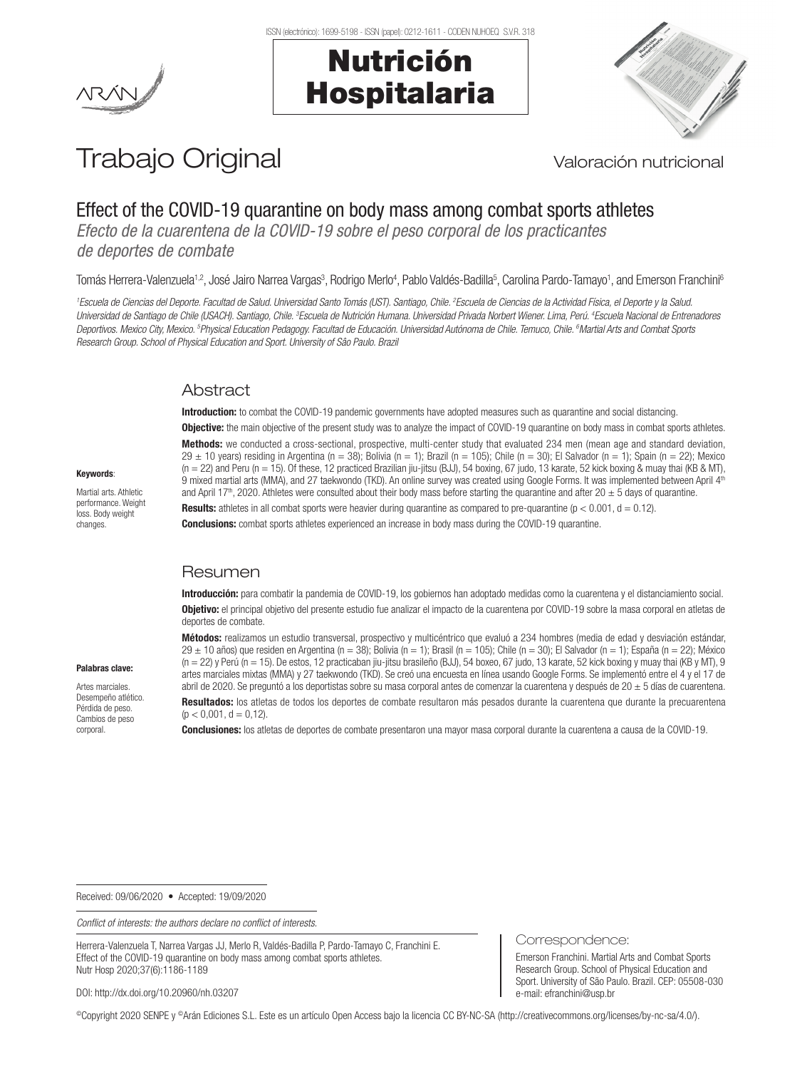## Nutrición Hospitalaria



# Trabajo Original Valoración nutricional

## Effect of the COVID-19 quarantine on body mass among combat sports athletes

*Efecto de la cuarentena de la COVID-19 sobre el peso corporal de los practicantes de deportes de combate*

Tomás Herrera-Valenzuela<sup>1,2</sup>, José Jairo Narrea Vargas<sup>3</sup>, Rodrigo Merlo<sup>4</sup>, Pablo Valdés-Badilla<sup>5</sup>, Carolina Pardo-Tamayo<sup>1</sup>, and Emerson Franchini<sup>6</sup>

<sup>1</sup> Escuela de Ciencias del Deporte. Facultad de Salud. Universidad Santo Tomás (UST). Santiago, Chile. <sup>2</sup> Escuela de Ciencias de la Actividad Física, el Deporte y la Salud. Universidad de Santiago de Chile (USACH). Santiago, Chile. <sup>3</sup>Escuela de Nutrición Humana. Universidad Privada Norbert Wiener. Lima, Perú. <sup>4</sup>Escuela Nacional de Entrenadores *Deportivos. Mexico City, Mexico. 5 Physical Education Pedagogy. Facultad de Educación. Universidad Autónoma de Chile. Temuco, Chile. 6 Martial Arts and Combat Sports Research Group. School of Physical Education and Sport. University of Sâo Paulo. Brazil*

#### **Abstract**

**Introduction:** to combat the COVID-19 pandemic governments have adopted measures such as quarantine and social distancing.

**Objective:** the main objective of the present study was to analyze the impact of COVID-19 quarantine on body mass in combat sports athletes. Methods: we conducted a cross-sectional, prospective, multi-center study that evaluated 234 men (mean age and standard deviation.  $29 \pm 10$  years) residing in Argentina (n = 38); Bolivia (n = 1); Brazil (n = 105); Chile (n = 30); El Salvador (n = 1); Spain (n = 22); Mexico (n = 22) and Peru (n = 15). Of these, 12 practiced Brazilian jiu-jitsu (BJJ), 54 boxing, 67 judo, 13 karate, 52 kick boxing & muay thai (KB & MT), 9 mixed martial arts (MMA), and 27 taekwondo (TKD). An online survey was created using Google Forms. It was implemented between April 4<sup>th</sup> and April 17<sup>th</sup>, 2020. Athletes were consulted about their body mass before starting the quarantine and after 20  $\pm$  5 days of quarantine. **Results:** athletes in all combat sports were heavier during quarantine as compared to pre-quarantine  $(p < 0.001, d = 0.12)$ .

**Conclusions:** combat sports athletes experienced an increase in body mass during the COVID-19 quarantine.

### Resumen

Introducción: para combatir la pandemia de COVID-19, los gobiernos han adoptado medidas como la cuarentena y el distanciamiento social. Obietivo: el principal objetivo del presente estudio fue analizar el impacto de la cuarentena por COVID-19 sobre la masa corporal en atletas de deportes de combate.

Métodos: realizamos un estudio transversal, prospectivo y multicéntrico que evaluó a 234 hombres (media de edad y desviación estándar,  $29 \pm 10$  años) que residen en Argentina (n = 38); Bolivia (n = 1); Brasil (n = 105); Chile (n = 30); El Salvador (n = 1); España (n = 22); México (n = 22) y Perú (n = 15). De estos, 12 practicaban jiu-jitsu brasileño (BJJ), 54 boxeo, 67 judo, 13 karate, 52 kick boxing y muay thai (KB y MT), 9 artes marciales mixtas (MMA) y 27 taekwondo (TKD). Se creó una encuesta en línea usando Google Forms. Se implementó entre el 4 y el 17 de abril de 2020. Se preguntó a los deportistas sobre su masa corporal antes de comenzar la cuarentena y después de 20 $\pm$  5 días de cuarentena. Resultados: los atletas de todos los deportes de combate resultaron más pesados durante la cuarentena que durante la precuarentena  $(p < 0.001, d = 0.12)$ .

Conclusiones: los atletas de deportes de combate presentaron una mayor masa corporal durante la cuarentena a causa de la COVID-19.

Correspondence:

e-mail: efranchini@usp.br

Emerson Franchini. Martial Arts and Combat Sports Research Group. School of Physical Education and Sport. University of São Paulo. Brazil. CEP: 05508-030

Received: 09/06/2020 • Accepted: 19/09/2020

*Conflict of interests: the authors declare no conflict of interests.*

Herrera-Valenzuela T, Narrea Vargas JJ, Merlo R, Valdés-Badilla P, Pardo-Tamayo C, Franchini E. Effect of the COVID-19 quarantine on body mass among combat sports athletes. Nutr Hosp 2020;37(6):1186-1189

DOI: http://dx.doi.org/10.20960/nh.03207

©Copyright 2020 SENPE y ©Arán Ediciones S.L. Este es un artículo Open Access bajo la licencia CC BY-NC-SA (http://creativecommons.org/licenses/by-nc-sa/4.0/).

## Keywords:

Martial arts. Athletic performance. Weight loss. Body weight changes.

Palabras clave: Artes marciales. Desempeño atlético. Pérdida de peso. Cambios de peso corporal.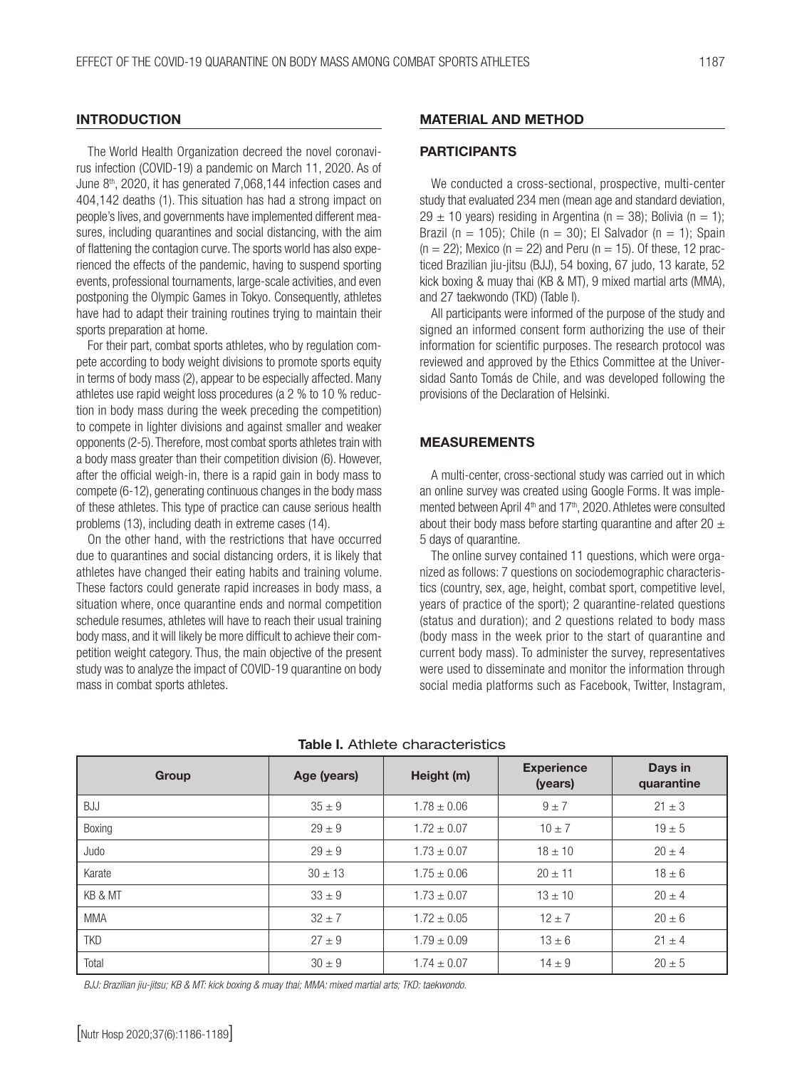#### **INTRODUCTION**

The World Health Organization decreed the novel coronavirus infection (COVID-19) a pandemic on March 11, 2020. As of June 8<sup>th</sup>, 2020, it has generated 7,068,144 infection cases and 404,142 deaths (1). This situation has had a strong impact on people's lives, and governments have implemented different measures, including quarantines and social distancing, with the aim of flattening the contagion curve. The sports world has also experienced the effects of the pandemic, having to suspend sporting events, professional tournaments, large-scale activities, and even postponing the Olympic Games in Tokyo. Consequently, athletes have had to adapt their training routines trying to maintain their sports preparation at home.

For their part, combat sports athletes, who by regulation compete according to body weight divisions to promote sports equity in terms of body mass (2), appear to be especially affected. Many athletes use rapid weight loss procedures (a 2 % to 10 % reduction in body mass during the week preceding the competition) to compete in lighter divisions and against smaller and weaker opponents (2-5). Therefore, most combat sports athletes train with a body mass greater than their competition division (6). However, after the official weigh-in, there is a rapid gain in body mass to compete (6-12), generating continuous changes in the body mass of these athletes. This type of practice can cause serious health problems (13), including death in extreme cases (14).

On the other hand, with the restrictions that have occurred due to quarantines and social distancing orders, it is likely that athletes have changed their eating habits and training volume. These factors could generate rapid increases in body mass, a situation where, once quarantine ends and normal competition schedule resumes, athletes will have to reach their usual training body mass, and it will likely be more difficult to achieve their competition weight category. Thus, the main objective of the present study was to analyze the impact of COVID-19 quarantine on body mass in combat sports athletes.

#### MATERIAL AND METHOD

#### PARTICIPANTS

We conducted a cross-sectional, prospective, multi-center study that evaluated 234 men (mean age and standard deviation,  $29 \pm 10$  years) residing in Argentina (n = 38); Bolivia (n = 1); Brazil (n = 105); Chile (n = 30); El Salvador (n = 1); Spain  $(n = 22)$ ; Mexico  $(n = 22)$  and Peru  $(n = 15)$ . Of these, 12 practiced Brazilian jiu-jitsu (BJJ), 54 boxing, 67 judo, 13 karate, 52 kick boxing & muay thai (KB & MT), 9 mixed martial arts (MMA), and 27 taekwondo (TKD) (Table I).

All participants were informed of the purpose of the study and signed an informed consent form authorizing the use of their information for scientific purposes. The research protocol was reviewed and approved by the Ethics Committee at the Universidad Santo Tomás de Chile, and was developed following the provisions of the Declaration of Helsinki.

#### MEASUREMENTS

A multi-center, cross-sectional study was carried out in which an online survey was created using Google Forms. It was implemented between April 4<sup>th</sup> and 17<sup>th</sup>, 2020. Athletes were consulted about their body mass before starting quarantine and after 20  $\pm$ 5 days of quarantine.

The online survey contained 11 questions, which were organized as follows: 7 questions on sociodemographic characteristics (country, sex, age, height, combat sport, competitive level, years of practice of the sport); 2 quarantine-related questions (status and duration); and 2 questions related to body mass (body mass in the week prior to the start of quarantine and current body mass). To administer the survey, representatives were used to disseminate and monitor the information through social media platforms such as Facebook, Twitter, Instagram,

| Group      | Age (years) | Height (m)      | <b>Experience</b><br>(years) | Days in<br>quarantine |
|------------|-------------|-----------------|------------------------------|-----------------------|
| <b>BJJ</b> | $35 \pm 9$  | $1.78 \pm 0.06$ | $9 \pm 7$                    | $21 \pm 3$            |
| Boxing     | $29 \pm 9$  | $1.72 \pm 0.07$ | $10 \pm 7$                   | $19 \pm 5$            |
| Judo       | $29 \pm 9$  | $1.73 \pm 0.07$ | $18 \pm 10$                  | $20 \pm 4$            |
| Karate     | $30 \pm 13$ | $1.75 \pm 0.06$ | $20 \pm 11$                  | $18 \pm 6$            |
| KB & MT    | $33 \pm 9$  | $1.73 \pm 0.07$ | $13 \pm 10$                  | $20 \pm 4$            |
| <b>MMA</b> | $32 + 7$    | $1.72 \pm 0.05$ | $12 + 7$                     | $20 \pm 6$            |
| <b>TKD</b> | $27 + 9$    | $1.79 \pm 0.09$ | $13 \pm 6$                   | $21 \pm 4$            |
| Total      | $30 \pm 9$  | $1.74 \pm 0.07$ | $14 \pm 9$                   | $20 \pm 5$            |

#### Table I. Athlete characteristics

*BJJ: Brazilian jiu-jitsu; KB & MT: kick boxing & muay thai; MMA: mixed martial arts; TKD: taekwondo.*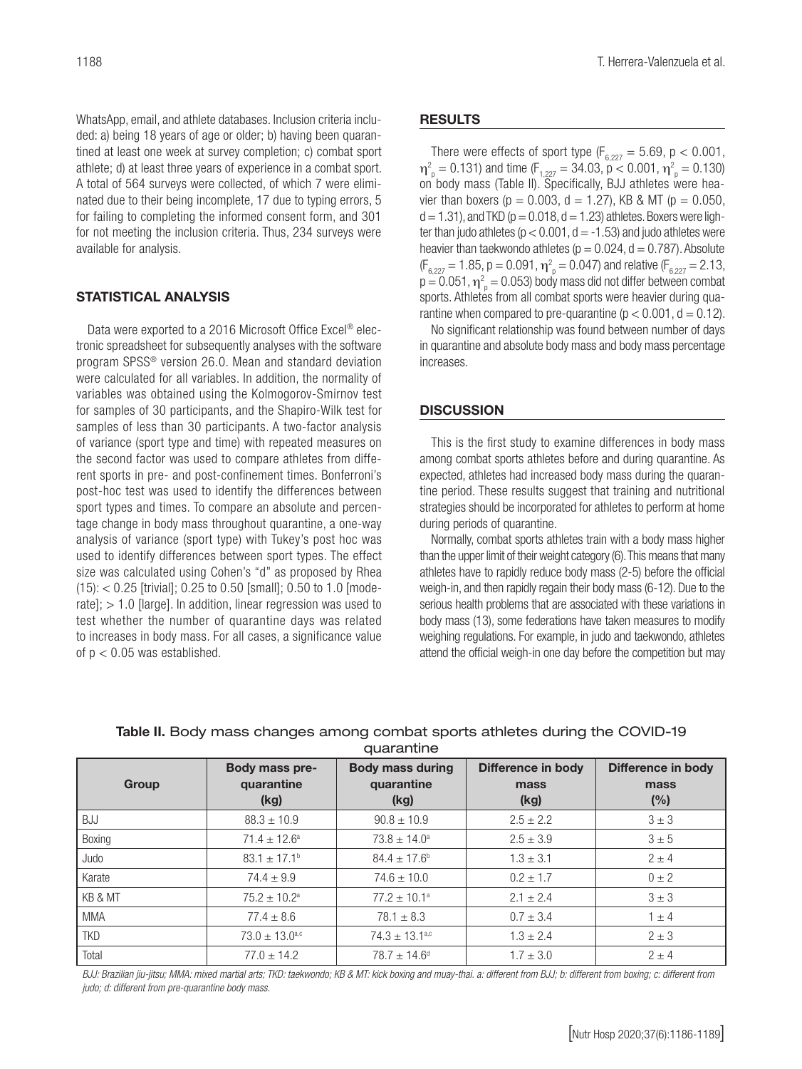WhatsApp, email, and athlete databases. Inclusion criteria included: a) being 18 years of age or older; b) having been quarantined at least one week at survey completion; c) combat sport athlete; d) at least three years of experience in a combat sport. A total of 564 surveys were collected, of which 7 were eliminated due to their being incomplete, 17 due to typing errors, 5 for failing to completing the informed consent form, and 301 for not meeting the inclusion criteria. Thus, 234 surveys were available for analysis.

## STATISTICAL ANALYSIS

Data were exported to a 2016 Microsoft Office Excel® electronic spreadsheet for subsequently analyses with the software program SPSS® version 26.0. Mean and standard deviation were calculated for all variables. In addition, the normality of variables was obtained using the Kolmogorov-Smirnov test for samples of 30 participants, and the Shapiro-Wilk test for samples of less than 30 participants. A two-factor analysis of variance (sport type and time) with repeated measures on the second factor was used to compare athletes from different sports in pre- and post-confinement times. Bonferroni's post-hoc test was used to identify the differences between sport types and times. To compare an absolute and percentage change in body mass throughout quarantine, a one-way analysis of variance (sport type) with Tukey's post hoc was used to identify differences between sport types. The effect size was calculated using Cohen's "d" as proposed by Rhea  $(15):$  < 0.25 [trivial]; 0.25 to 0.50 [small]; 0.50 to 1.0 [moderate]; > 1.0 [large]. In addition, linear regression was used to test whether the number of quarantine days was related to increases in body mass. For all cases, a significance value of  $p < 0.05$  was established.

#### **RESULTS**

There were effects of sport type  $(F_{6,227} = 5.69, p < 0.001,$  $\eta_{\text{p}}^2 = 0.131$ ) and time (F<sub>1,227</sub> = 34.03, p < 0.001,  $\eta_{\text{p}}^2 = 0.130$ ) on body mass (Table II). Specifically, BJJ athletes were heavier than boxers ( $p = 0.003$ ,  $d = 1.27$ ), KB & MT ( $p = 0.050$ ,  $d = 1.31$ ), and TKD ( $p = 0.018$ ,  $d = 1.23$ ) athletes. Boxers were lighter than judo athletes ( $p < 0.001$ ,  $d = -1.53$ ) and judo athletes were heavier than taekwondo athletes ( $p = 0.024$ ,  $d = 0.787$ ). Absolute  $(F_{6,227} = 1.85, p = 0.091, \eta_{p}^{2} = 0.047)$  and relative  $(F_{6,227} = 2.13,$  $p = 0.051$ ,  $\eta^2_{\text{p}} = 0.053$ ) body mass did not differ between combat sports. Athletes from all combat sports were heavier during quarantine when compared to pre-quarantine ( $p < 0.001$ ,  $d = 0.12$ ).

No significant relationship was found between number of days in quarantine and absolute body mass and body mass percentage increases.

#### **DISCUSSION**

This is the first study to examine differences in body mass among combat sports athletes before and during quarantine. As expected, athletes had increased body mass during the quarantine period. These results suggest that training and nutritional strategies should be incorporated for athletes to perform at home during periods of quarantine.

Normally, combat sports athletes train with a body mass higher than the upper limit of their weight category (6). This means that many athletes have to rapidly reduce body mass (2-5) before the official weigh-in, and then rapidly regain their body mass (6-12). Due to the serious health problems that are associated with these variations in body mass (13), some federations have taken measures to modify weighing regulations. For example, in judo and taekwondo, athletes attend the official weigh-in one day before the competition but may

| Table II. Body mass changes among combat sports athletes during the COVID-19 |  |
|------------------------------------------------------------------------------|--|
| auarantine                                                                   |  |

| Group      | Body mass pre-<br>quarantine<br>(kg) | <b>Body mass during</b><br>quarantine<br>(kg) | Difference in body<br>mass<br>(kg) | Difference in body<br>mass<br>(%) |
|------------|--------------------------------------|-----------------------------------------------|------------------------------------|-----------------------------------|
|            |                                      |                                               |                                    |                                   |
| BJJ        | $88.3 \pm 10.9$                      | $90.8 \pm 10.9$                               | $2.5 \pm 2.2$                      | $3 \pm 3$                         |
| Boxing     | $71.4 \pm 12.6^a$                    | $73.8 \pm 14.0^a$                             | $2.5 \pm 3.9$                      | $3 \pm 5$                         |
| Judo       | $83.1 \pm 17.1^{\circ}$              | $84.4 \pm 17.6^{\circ}$                       | $1.3 \pm 3.1$                      | $2 \pm 4$                         |
| Karate     | $74.4 \pm 9.9$                       | $74.6 \pm 10.0$                               | $0.2 \pm 1.7$                      | $0 \pm 2$                         |
| KB & MT    | $75.2 \pm 10.2^{\text{a}}$           | $77.2 \pm 10.1^{\circ}$                       | $2.1 \pm 2.4$                      | $3 \pm 3$                         |
| <b>MMA</b> | $77.4 \pm 8.6$                       | $78.1 \pm 8.3$                                | $0.7 \pm 3.4$                      | $1 \pm 4$                         |
| <b>TKD</b> | $73.0 \pm 13.0$ <sup>a,c</sup>       | $74.3 \pm 13.1^{\text{a,c}}$                  | $1.3 \pm 2.4$                      | $2 \pm 3$                         |
| Total      | $77.0 \pm 14.2$                      | $78.7 \pm 14.6^{\circ}$                       | $1.7 \pm 3.0$                      | $2 + 4$                           |

BJJ: Brazilian jiu-jitsu; MMA: mixed martial arts; TKD: taekwondo; KB & MT: kick boxing and muay-thai. a: different from BJJ; b: different from boxing; c: different from *judo; d: different from pre-quarantine body mass.*